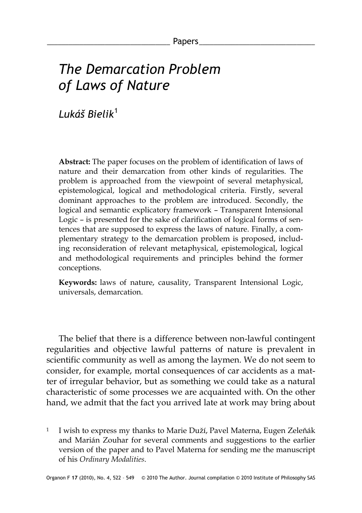# *The Demarcation Problem of Laws of Nature*

*Lukáš Bielik*[1](#page-0-0)

**Abstract:** The paper focuses on the problem of identification of laws of nature and their demarcation from other kinds of regularities. The problem is approached from the viewpoint of several metaphysical, epistemological, logical and methodological criteria. Firstly, several dominant approaches to the problem are introduced. Secondly, the logical and semantic explicatory framework – Transparent Intensional Logic – is presented for the sake of clarification of logical forms of sentences that are supposed to express the laws of nature. Finally, a complementary strategy to the demarcation problem is proposed, including reconsideration of relevant metaphysical, epistemological, logical and methodological requirements and principles behind the former conceptions.

**Keywords:** laws of nature, causality, Transparent Intensional Logic, universals, demarcation.

The belief that there is a difference between non-lawful contingent regularities and objective lawful patterns of nature is prevalent in scientific community as well as among the laymen. We do not seem to consider, for example, mortal consequences of car accidents as a matter of irregular behavior, but as something we could take as a natural characteristic of some processes we are acquainted with. On the other hand, we admit that the fact you arrived late at work may bring about

<span id="page-0-0"></span><sup>1</sup> I wish to express my thanks to Marie Duží, Pavel Materna, Eugen Zeleňák and Marián Zouhar for several comments and suggestions to the earlier version of the paper and to Pavel Materna for sending me the manuscript of his *Ordinary Modalities*.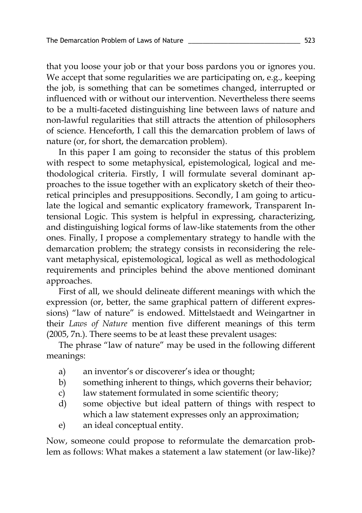that you loose your job or that your boss pardons you or ignores you. We accept that some regularities we are participating on, e.g., keeping the job, is something that can be sometimes changed, interrupted or influenced with or without our intervention. Nevertheless there seems to be a multi-faceted distinguishing line between laws of nature and non-lawful regularities that still attracts the attention of philosophers of science. Henceforth, I call this the demarcation problem of laws of nature (or, for short, the demarcation problem).

In this paper I am going to reconsider the status of this problem with respect to some metaphysical, epistemological, logical and methodological criteria. Firstly, I will formulate several dominant approaches to the issue together with an explicatory sketch of their theoretical principles and presuppositions. Secondly, I am going to articulate the logical and semantic explicatory framework, Transparent Intensional Logic. This system is helpful in expressing, characterizing, and distinguishing logical forms of law-like statements from the other ones. Finally, I propose a complementary strategy to handle with the demarcation problem; the strategy consists in reconsidering the relevant metaphysical, epistemological, logical as well as methodological requirements and principles behind the above mentioned dominant approaches.

First of all, we should delineate different meanings with which the expression (or, better, the same graphical pattern of different expressions) "law of nature" is endowed. Mittelstaedt and Weingartner in their *Laws of Nature* mention five different meanings of this term (2005, 7n.). There seems to be at least these prevalent usages:

The phrase "law of nature" may be used in the following different meanings:

- a) an inventor's or discoverer's idea or thought;
- b) something inherent to things, which governs their behavior;
- c) law statement formulated in some scientific theory;
- d) some objective but ideal pattern of things with respect to which a law statement expresses only an approximation;
- e) an ideal conceptual entity.

Now, someone could propose to reformulate the demarcation problem as follows: What makes a statement a law statement (or law-like)?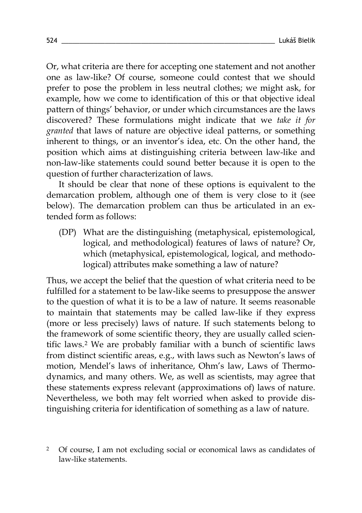Or, what criteria are there for accepting one statement and not another one as law-like? Of course, someone could contest that we should prefer to pose the problem in less neutral clothes; we might ask, for example, how we come to identification of this or that objective ideal pattern of things' behavior, or under which circumstances are the laws discovered? These formulations might indicate that we *take it for granted* that laws of nature are objective ideal patterns, or something inherent to things, or an inventor's idea, etc. On the other hand, the position which aims at distinguishing criteria between law-like and non-law-like statements could sound better because it is open to the question of further characterization of laws.

It should be clear that none of these options is equivalent to the demarcation problem, although one of them is very close to it (see below). The demarcation problem can thus be articulated in an extended form as follows:

(DP) What are the distinguishing (metaphysical, epistemological, logical, and methodological) features of laws of nature? Or, which (metaphysical, epistemological, logical, and methodological) attributes make something a law of nature?

Thus, we accept the belief that the question of what criteria need to be fulfilled for a statement to be law-like seems to presuppose the answer to the question of what it is to be a law of nature. It seems reasonable to maintain that statements may be called law-like if they express (more or less precisely) laws of nature. If such statements belong to the framework of some scientific theory, they are usually called scientific laws.[2](#page-2-0) We are probably familiar with a bunch of scientific laws from distinct scientific areas, e.g., with laws such as Newton's laws of motion, Mendel's laws of inheritance, Ohm's law, Laws of Thermodynamics, and many others. We, as well as scientists, may agree that these statements express relevant (approximations of) laws of nature. Nevertheless, we both may felt worried when asked to provide distinguishing criteria for identification of something as a law of nature.

<span id="page-2-0"></span><sup>2</sup> Of course, I am not excluding social or economical laws as candidates of law-like statements.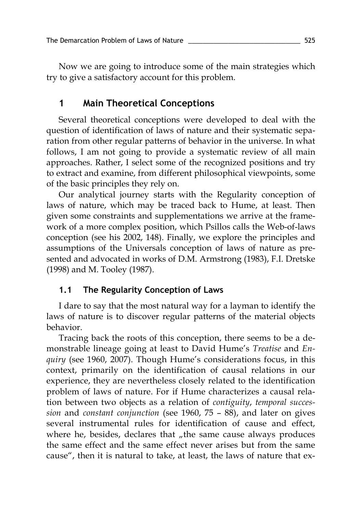Now we are going to introduce some of the main strategies which try to give a satisfactory account for this problem.

## **1 Main Theoretical Conceptions**

Several theoretical conceptions were developed to deal with the question of identification of laws of nature and their systematic separation from other regular patterns of behavior in the universe. In what follows, I am not going to provide a systematic review of all main approaches. Rather, I select some of the recognized positions and try to extract and examine, from different philosophical viewpoints, some of the basic principles they rely on.

Our analytical journey starts with the Regularity conception of laws of nature, which may be traced back to Hume, at least. Then given some constraints and supplementations we arrive at the framework of a more complex position, which Psillos calls the Web-of-laws conception (see his 2002, 148). Finally, we explore the principles and assumptions of the Universals conception of laws of nature as presented and advocated in works of D.M. Armstrong (1983), F.I. Dretske (1998) and M. Tooley (1987).

## **1.1 The Regularity Conception of Laws**

I dare to say that the most natural way for a layman to identify the laws of nature is to discover regular patterns of the material objects behavior.

Tracing back the roots of this conception, there seems to be a demonstrable lineage going at least to David Hume's *Treatise* and *Enquiry* (see 1960, 2007). Though Hume's considerations focus, in this context, primarily on the identification of causal relations in our experience, they are nevertheless closely related to the identification problem of laws of nature. For if Hume characterizes a causal relation between two objects as a relation of *contiguity*, *temporal succession* and *constant conjunction* (see 1960, 75 – 88), and later on gives several instrumental rules for identification of cause and effect, where he, besides, declares that  $n$ , the same cause always produces the same effect and the same effect never arises but from the same cause", then it is natural to take, at least, the laws of nature that ex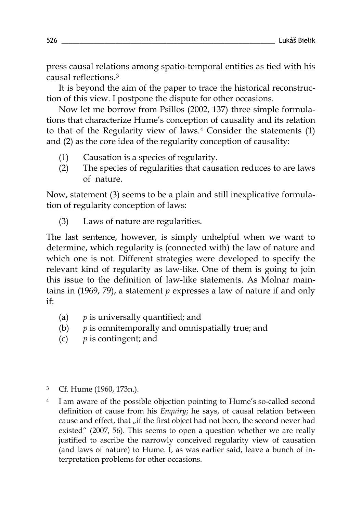press causal relations among spatio-temporal entities as tied with his causal reflections.[3](#page-4-0)

It is beyond the aim of the paper to trace the historical reconstruction of this view. I postpone the dispute for other occasions.

Now let me borrow from Psillos (2002, 137) three simple formulations that characterize Hume's conception of causality and its relation to that of the Regularity view of laws. [4](#page-4-1) Consider the statements (1) and (2) as the core idea of the regularity conception of causality:

- (1) Causation is a species of regularity.
- (2) The species of regularities that causation reduces to are laws of nature.

Now, statement (3) seems to be a plain and still inexplicative formulation of regularity conception of laws:

(3) Laws of nature are regularities.

The last sentence, however, is simply unhelpful when we want to determine, which regularity is (connected with) the law of nature and which one is not. Different strategies were developed to specify the relevant kind of regularity as law-like. One of them is going to join this issue to the definition of law-like statements. As Molnar maintains in (1969, 79), a statement *p* expresses a law of nature if and only if:

- (a) *p* is universally quantified; and
- (b) *p* is omnitemporally and omnispatially true; and
- (c) *p* is contingent; and

<span id="page-4-0"></span><sup>3</sup> Cf. Hume (1960, 173n.).

<span id="page-4-1"></span><sup>4</sup> I am aware of the possible objection pointing to Hume's so-called second definition of cause from his *Enquiry*; he says, of causal relation between cause and effect, that "if the first object had not been, the second never had existed" (2007, 56). This seems to open a question whether we are really justified to ascribe the narrowly conceived regularity view of causation (and laws of nature) to Hume. I, as was earlier said, leave a bunch of interpretation problems for other occasions.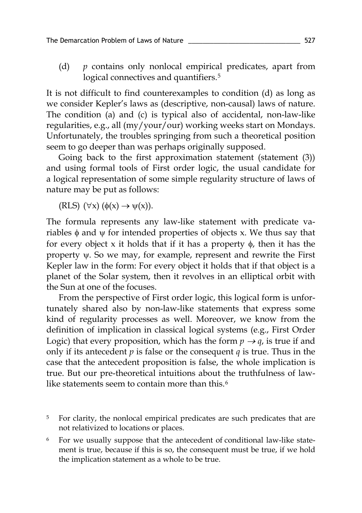(d) *p* contains only nonlocal empirical predicates, apart from logical connectives and quantifiers.<sup>[5](#page-5-0)</sup>

It is not difficult to find counterexamples to condition (d) as long as we consider Kepler's laws as (descriptive, non-causal) laws of nature. The condition (a) and (c) is typical also of accidental, non-law-like regularities, e.g., all (my/your/our) working weeks start on Mondays. Unfortunately, the troubles springing from such a theoretical position seem to go deeper than was perhaps originally supposed.

Going back to the first approximation statement (statement (3)) and using formal tools of First order logic, the usual candidate for a logical representation of some simple regularity structure of laws of nature may be put as follows:

(RLS)  $(\forall x) (\phi(x) \rightarrow \psi(x))$ .

The formula represents any law-like statement with predicate variables  $\phi$  and  $\psi$  for intended properties of objects x. We thus say that for every object x it holds that if it has a property  $\phi$ , then it has the property ψ. So we may, for example, represent and rewrite the First Kepler law in the form: For every object it holds that if that object is a planet of the Solar system, then it revolves in an elliptical orbit with the Sun at one of the focuses.

From the perspective of First order logic, this logical form is unfortunately shared also by non-law-like statements that express some kind of regularity processes as well. Moreover, we know from the definition of implication in classical logical systems (e.g., First Order Logic) that every proposition, which has the form  $p \rightarrow q$ , is true if and only if its antecedent  $p$  is false or the consequent  $q$  is true. Thus in the case that the antecedent proposition is false, the whole implication is true. But our pre-theoretical intuitions about the truthfulness of lawlike statements seem to contain more than this. [6](#page-5-1)

- <span id="page-5-0"></span><sup>5</sup> For clarity, the nonlocal empirical predicates are such predicates that are not relativized to locations or places.
- <span id="page-5-1"></span>For we usually suppose that the antecedent of conditional law-like statement is true, because if this is so, the consequent must be true, if we hold the implication statement as a whole to be true.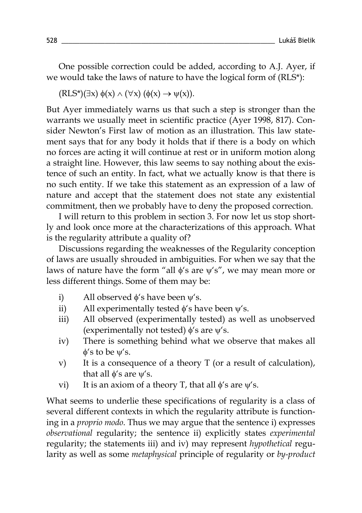One possible correction could be added, according to A.J. Ayer, if we would take the laws of nature to have the logical form of (RLS\*):

$$
(\text{RLS*})(\exists x)\ \phi(x) \land (\forall x)\ (\phi(x) \to \psi(x)).
$$

But Ayer immediately warns us that such a step is stronger than the warrants we usually meet in scientific practice (Ayer 1998, 817). Consider Newton's First law of motion as an illustration. This law statement says that for any body it holds that if there is a body on which no forces are acting it will continue at rest or in uniform motion along a straight line. However, this law seems to say nothing about the existence of such an entity. In fact, what we actually know is that there is no such entity. If we take this statement as an expression of a law of nature and accept that the statement does not state any existential commitment, then we probably have to deny the proposed correction.

I will return to this problem in section 3. For now let us stop shortly and look once more at the characterizations of this approach. What is the regularity attribute a quality of?

Discussions regarding the weaknesses of the Regularity conception of laws are usually shrouded in ambiguities. For when we say that the laws of nature have the form "all  $\phi$ 's are  $\psi'$ s", we may mean more or less different things. Some of them may be:

- i) All observed  $\phi$ 's have been  $\psi$ 's.
- ii) All experimentally tested  $\phi$ 's have been  $\psi$ 's.
- iii) All observed (experimentally tested) as well as unobserved (experimentally not tested)  $\phi$ 's are  $\psi$ 's.
- iv) There is something behind what we observe that makes all φ's to be ψ's.
- v) It is a consequence of a theory T (or a result of calculation), that all  $\phi$ 's are  $\psi$ 's.
- vi) It is an axiom of a theory T, that all  $\phi$ 's are  $\psi$ 's.

What seems to underlie these specifications of regularity is a class of several different contexts in which the regularity attribute is functioning in a *proprio modo*. Thus we may argue that the sentence i) expresses *observational* regularity; the sentence ii) explicitly states *experimental*  regularity; the statements iii) and iv) may represent *hypothetical* regularity as well as some *metaphysical* principle of regularity or *by-product*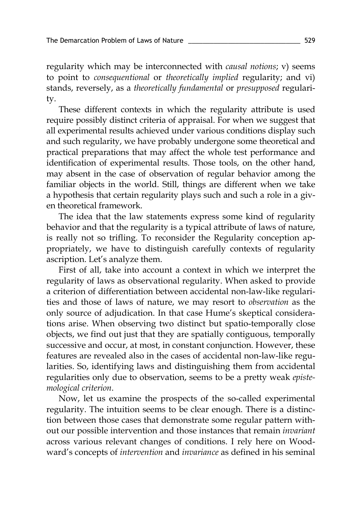regularity which may be interconnected with *causal notions*; v) seems to point to *consequentional* or *theoretically implied* regularity; and vi) stands, reversely, as a *theoretically fundamental* or *presupposed* regularity.

These different contexts in which the regularity attribute is used require possibly distinct criteria of appraisal. For when we suggest that all experimental results achieved under various conditions display such and such regularity, we have probably undergone some theoretical and practical preparations that may affect the whole test performance and identification of experimental results. Those tools, on the other hand, may absent in the case of observation of regular behavior among the familiar objects in the world. Still, things are different when we take a hypothesis that certain regularity plays such and such a role in a given theoretical framework.

The idea that the law statements express some kind of regularity behavior and that the regularity is a typical attribute of laws of nature, is really not so trifling. To reconsider the Regularity conception appropriately, we have to distinguish carefully contexts of regularity ascription. Let's analyze them.

First of all, take into account a context in which we interpret the regularity of laws as observational regularity. When asked to provide a criterion of differentiation between accidental non-law-like regularities and those of laws of nature, we may resort to *observation* as the only source of adjudication. In that case Hume's skeptical considerations arise. When observing two distinct but spatio-temporally close objects, we find out just that they are spatially contiguous, temporally successive and occur, at most, in constant conjunction. However, these features are revealed also in the cases of accidental non-law-like regularities. So, identifying laws and distinguishing them from accidental regularities only due to observation, seems to be a pretty weak *epistemological criterion*.

Now, let us examine the prospects of the so-called experimental regularity. The intuition seems to be clear enough. There is a distinction between those cases that demonstrate some regular pattern without our possible intervention and those instances that remain *invariant*  across various relevant changes of conditions. I rely here on Woodward's concepts of *intervention* and *invariance* as defined in his seminal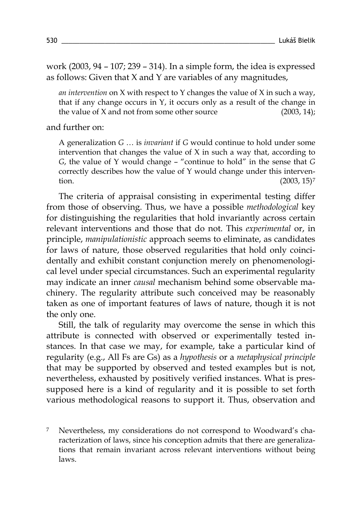work (2003, 94 – 107; 239 – 314). In a simple form, the idea is expressed as follows: Given that X and Y are variables of any magnitudes,

*an intervention* on X with respect to Y changes the value of X in such a way, that if any change occurs in  $Y$ , it occurs only as a result of the change in the value of X and not from some other source (2003, 14);

and further on:

A generalization *G* … is *invariant* if *G* would continue to hold under some intervention that changes the value of  $X$  in such a way that, according to *G*, the value of Y would change – "continue to hold" in the sense that *G* correctly describes how the value of Y would change under this intervention.  $(2003, 15)^7$  $(2003, 15)^7$ 

The criteria of appraisal consisting in experimental testing differ from those of observing. Thus, we have a possible *methodological* key for distinguishing the regularities that hold invariantly across certain relevant interventions and those that do not. This *experimental* or, in principle, *manipulationistic* approach seems to eliminate, as candidates for laws of nature, those observed regularities that hold only coincidentally and exhibit constant conjunction merely on phenomenological level under special circumstances. Such an experimental regularity may indicate an inner *causal* mechanism behind some observable machinery. The regularity attribute such conceived may be reasonably taken as one of important features of laws of nature, though it is not the only one.

Still, the talk of regularity may overcome the sense in which this attribute is connected with observed or experimentally tested instances. In that case we may, for example, take a particular kind of regularity (e.g., All Fs are Gs) as a *hypothesis* or a *metaphysical principle* that may be supported by observed and tested examples but is not, nevertheless, exhausted by positively verified instances. What is pressupposed here is a kind of regularity and it is possible to set forth various methodological reasons to support it. Thus, observation and

<span id="page-8-0"></span><sup>7</sup> Nevertheless, my considerations do not correspond to Woodward's characterization of laws, since his conception admits that there are generalizations that remain invariant across relevant interventions without being laws.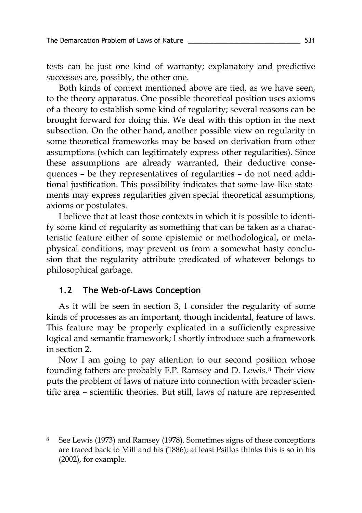tests can be just one kind of warranty; explanatory and predictive successes are, possibly, the other one.

Both kinds of context mentioned above are tied, as we have seen, to the theory apparatus. One possible theoretical position uses axioms of a theory to establish some kind of regularity; several reasons can be brought forward for doing this. We deal with this option in the next subsection. On the other hand, another possible view on regularity in some theoretical frameworks may be based on derivation from other assumptions (which can legitimately express other regularities). Since these assumptions are already warranted, their deductive consequences – be they representatives of regularities – do not need additional justification. This possibility indicates that some law-like statements may express regularities given special theoretical assumptions, axioms or postulates.

I believe that at least those contexts in which it is possible to identify some kind of regularity as something that can be taken as a characteristic feature either of some epistemic or methodological, or metaphysical conditions, may prevent us from a somewhat hasty conclusion that the regularity attribute predicated of whatever belongs to philosophical garbage.

## **1.2 The Web-of-Laws Conception**

As it will be seen in section 3, I consider the regularity of some kinds of processes as an important, though incidental, feature of laws. This feature may be properly explicated in a sufficiently expressive logical and semantic framework; I shortly introduce such a framework in section 2.

Now I am going to pay attention to our second position whose founding fathers are probably F.P. Ramsey and D. Lewis.[8](#page-9-0) Their view puts the problem of laws of nature into connection with broader scientific area – scientific theories. But still, laws of nature are represented

<span id="page-9-0"></span>See Lewis (1973) and Ramsey (1978). Sometimes signs of these conceptions are traced back to Mill and his (1886); at least Psillos thinks this is so in his (2002), for example.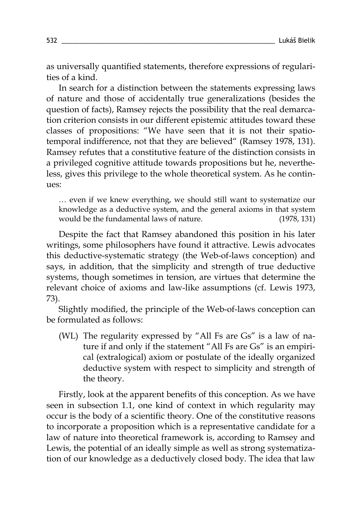as universally quantified statements, therefore expressions of regularities of a kind.

In search for a distinction between the statements expressing laws of nature and those of accidentally true generalizations (besides the question of facts), Ramsey rejects the possibility that the real demarcation criterion consists in our different epistemic attitudes toward these classes of propositions: "We have seen that it is not their spatiotemporal indifference, not that they are believed" (Ramsey 1978, 131). Ramsey refutes that a constitutive feature of the distinction consists in a privileged cognitive attitude towards propositions but he, nevertheless, gives this privilege to the whole theoretical system. As he continues:

… even if we knew everything, we should still want to systematize our knowledge as a deductive system, and the general axioms in that system would be the fundamental laws of nature. (1978, 131)

Despite the fact that Ramsey abandoned this position in his later writings, some philosophers have found it attractive. Lewis advocates this deductive-systematic strategy (the Web-of-laws conception) and says, in addition, that the simplicity and strength of true deductive systems, though sometimes in tension, are virtues that determine the relevant choice of axioms and law-like assumptions (cf. Lewis 1973, 73).

Slightly modified, the principle of the Web-of-laws conception can be formulated as follows:

(WL) The regularity expressed by "All Fs are Gs" is a law of nature if and only if the statement "All Fs are Gs" is an empirical (extralogical) axiom or postulate of the ideally organized deductive system with respect to simplicity and strength of the theory.

Firstly, look at the apparent benefits of this conception. As we have seen in subsection 1.1, one kind of context in which regularity may occur is the body of a scientific theory. One of the constitutive reasons to incorporate a proposition which is a representative candidate for a law of nature into theoretical framework is, according to Ramsey and Lewis, the potential of an ideally simple as well as strong systematization of our knowledge as a deductively closed body. The idea that law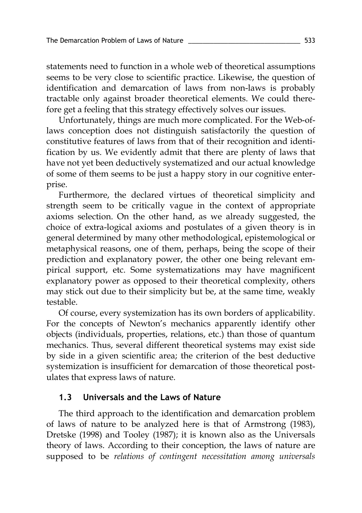statements need to function in a whole web of theoretical assumptions seems to be very close to scientific practice. Likewise, the question of identification and demarcation of laws from non-laws is probably tractable only against broader theoretical elements. We could therefore get a feeling that this strategy effectively solves our issues.

Unfortunately, things are much more complicated. For the Web-oflaws conception does not distinguish satisfactorily the question of constitutive features of laws from that of their recognition and identification by us. We evidently admit that there are plenty of laws that have not yet been deductively systematized and our actual knowledge of some of them seems to be just a happy story in our cognitive enterprise.

Furthermore, the declared virtues of theoretical simplicity and strength seem to be critically vague in the context of appropriate axioms selection. On the other hand, as we already suggested, the choice of extra-logical axioms and postulates of a given theory is in general determined by many other methodological, epistemological or metaphysical reasons, one of them, perhaps, being the scope of their prediction and explanatory power, the other one being relevant empirical support, etc. Some systematizations may have magnificent explanatory power as opposed to their theoretical complexity, others may stick out due to their simplicity but be, at the same time, weakly testable.

Of course, every systemization has its own borders of applicability. For the concepts of Newton's mechanics apparently identify other objects (individuals, properties, relations, etc.) than those of quantum mechanics. Thus, several different theoretical systems may exist side by side in a given scientific area; the criterion of the best deductive systemization is insufficient for demarcation of those theoretical postulates that express laws of nature.

## **1.3 Universals and the Laws of Nature**

The third approach to the identification and demarcation problem of laws of nature to be analyzed here is that of Armstrong (1983), Dretske (1998) and Tooley (1987); it is known also as the Universals theory of laws. According to their conception, the laws of nature are supposed to be *relations of contingent necessitation among universals*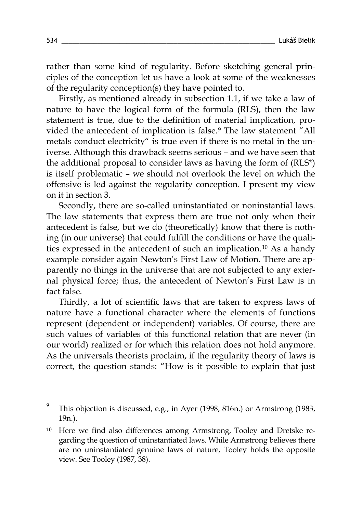rather than some kind of regularity. Before sketching general principles of the conception let us have a look at some of the weaknesses of the regularity conception(s) they have pointed to.

Firstly, as mentioned already in subsection 1.1, if we take a law of nature to have the logical form of the formula (RLS), then the law statement is true, due to the definition of material implication, pro-vided the antecedent of implication is false.<sup>[9](#page-12-0)</sup> The law statement "All metals conduct electricity" is true even if there is no metal in the universe. Although this drawback seems serious – and we have seen that the additional proposal to consider laws as having the form of (RLS\*) is itself problematic – we should not overlook the level on which the offensive is led against the regularity conception. I present my view on it in section 3.

Secondly, there are so-called uninstantiated or noninstantial laws. The law statements that express them are true not only when their antecedent is false, but we do (theoretically) know that there is nothing (in our universe) that could fulfill the conditions or have the qualities expressed in the antecedent of such an implication. [10](#page-12-1) As a handy example consider again Newton's First Law of Motion. There are apparently no things in the universe that are not subjected to any external physical force; thus, the antecedent of Newton's First Law is in fact false.

Thirdly, a lot of scientific laws that are taken to express laws of nature have a functional character where the elements of functions represent (dependent or independent) variables. Of course, there are such values of variables of this functional relation that are never (in our world) realized or for which this relation does not hold anymore. As the universals theorists proclaim, if the regularity theory of laws is correct, the question stands: "How is it possible to explain that just

<span id="page-12-0"></span><sup>9</sup> This objection is discussed, e.g., in Ayer (1998, 816n.) or Armstrong (1983, 19n.).

<span id="page-12-1"></span><sup>10</sup> Here we find also differences among Armstrong, Tooley and Dretske regarding the question of uninstantiated laws. While Armstrong believes there are no uninstantiated genuine laws of nature, Tooley holds the opposite view. See Tooley (1987, 38).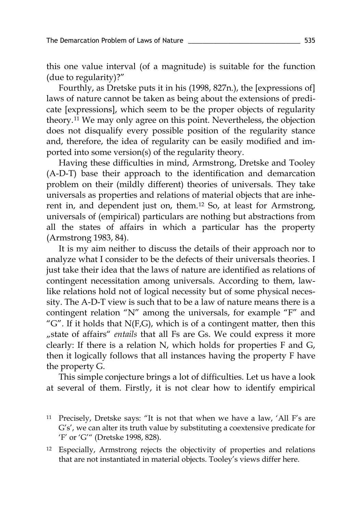this one value interval (of a magnitude) is suitable for the function (due to regularity)?"

Fourthly, as Dretske puts it in his (1998, 827n.), the [expressions of] laws of nature cannot be taken as being about the extensions of predicate [expressions], which seem to be the proper objects of regularity theory.[11](#page-13-0) We may only agree on this point. Nevertheless, the objection does not disqualify every possible position of the regularity stance and, therefore, the idea of regularity can be easily modified and imported into some version(s) of the regularity theory.

Having these difficulties in mind, Armstrong, Dretske and Tooley (A-D-T) base their approach to the identification and demarcation problem on their (mildly different) theories of universals. They take universals as properties and relations of material objects that are inherent in, and dependent just on, them. [12](#page-13-1) So, at least for Armstrong, universals of (empirical) particulars are nothing but abstractions from all the states of affairs in which a particular has the property (Armstrong 1983, 84).

It is my aim neither to discuss the details of their approach nor to analyze what I consider to be the defects of their universals theories. I just take their idea that the laws of nature are identified as relations of contingent necessitation among universals. According to them, lawlike relations hold not of logical necessity but of some physical necessity. The A-D-T view is such that to be a law of nature means there is a contingent relation "N" among the universals, for example "F" and "G". If it holds that  $N(F,G)$ , which is of a contingent matter, then this "state of affairs" *entails* that all Fs are Gs. We could express it more clearly: If there is a relation N, which holds for properties F and G, then it logically follows that all instances having the property F have the property G.

This simple conjecture brings a lot of difficulties. Let us have a look at several of them. Firstly, it is not clear how to identify empirical

<span id="page-13-0"></span><sup>&</sup>lt;sup>11</sup> Precisely, Dretske says: "It is not that when we have a law, 'All F's are G's', we can alter its truth value by substituting a coextensive predicate for 'F' or 'G'" (Dretske 1998, 828).

<span id="page-13-1"></span><sup>12</sup> Especially, Armstrong rejects the objectivity of properties and relations that are not instantiated in material objects. Tooley's views differ here.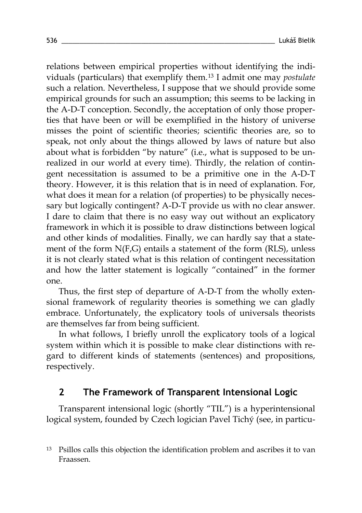relations between empirical properties without identifying the individuals (particulars) that exemplify them.[13](#page-14-0) I admit one may *postulate* such a relation. Nevertheless, I suppose that we should provide some empirical grounds for such an assumption; this seems to be lacking in the A-D-T conception. Secondly, the acceptation of only those properties that have been or will be exemplified in the history of universe misses the point of scientific theories; scientific theories are, so to speak, not only about the things allowed by laws of nature but also about what is forbidden "by nature" (i.e., what is supposed to be unrealized in our world at every time). Thirdly, the relation of contingent necessitation is assumed to be a primitive one in the A-D-T theory. However, it is this relation that is in need of explanation. For, what does it mean for a relation (of properties) to be physically necessary but logically contingent? A-D-T provide us with no clear answer. I dare to claim that there is no easy way out without an explicatory framework in which it is possible to draw distinctions between logical and other kinds of modalities. Finally, we can hardly say that a statement of the form N(F,G) entails a statement of the form (RLS), unless it is not clearly stated what is this relation of contingent necessitation and how the latter statement is logically "contained" in the former one.

Thus, the first step of departure of A-D-T from the wholly extensional framework of regularity theories is something we can gladly embrace. Unfortunately, the explicatory tools of universals theorists are themselves far from being sufficient.

In what follows, I briefly unroll the explicatory tools of a logical system within which it is possible to make clear distinctions with regard to different kinds of statements (sentences) and propositions, respectively.

# **2 The Framework of Transparent Intensional Logic**

Transparent intensional logic (shortly "TIL") is a hyperintensional logical system, founded by Czech logician Pavel Tichý (see, in particu-

<span id="page-14-0"></span><sup>13</sup> Psillos calls this objection the identification problem and ascribes it to van Fraassen.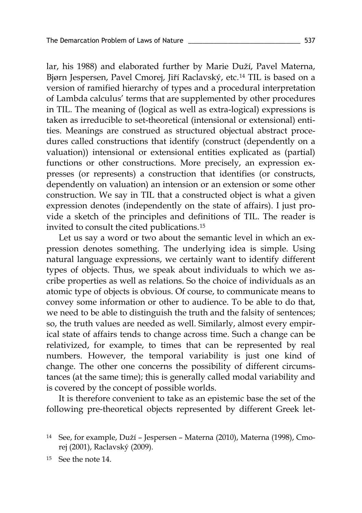lar, his 1988) and elaborated further by Marie Duží, Pavel Materna, Bjørn Jespersen, Pavel Cmorej, Jiří Raclavský, etc.[14](#page-15-0) TIL is based on a version of ramified hierarchy of types and a procedural interpretation of Lambda calculus' terms that are supplemented by other procedures in TIL. The meaning of (logical as well as extra-logical) expressions is taken as irreducible to set-theoretical (intensional or extensional) entities. Meanings are construed as structured objectual abstract procedures called constructions that identify (construct (dependently on a valuation)) intensional or extensional entities explicated as (partial) functions or other constructions. More precisely, an expression expresses (or represents) a construction that identifies (or constructs, dependently on valuation) an intension or an extension or some other construction. We say in TIL that a constructed object is what a given expression denotes (independently on the state of affairs). I just provide a sketch of the principles and definitions of TIL. The reader is invited to consult the cited publications.[15](#page-15-1)

Let us say a word or two about the semantic level in which an expression denotes something. The underlying idea is simple. Using natural language expressions, we certainly want to identify different types of objects. Thus, we speak about individuals to which we ascribe properties as well as relations. So the choice of individuals as an atomic type of objects is obvious. Of course, to communicate means to convey some information or other to audience. To be able to do that, we need to be able to distinguish the truth and the falsity of sentences; so, the truth values are needed as well. Similarly, almost every empirical state of affairs tends to change across time. Such a change can be relativized, for example, to times that can be represented by real numbers. However, the temporal variability is just one kind of change. The other one concerns the possibility of different circumstances (at the same time); this is generally called modal variability and is covered by the concept of possible worlds.

It is therefore convenient to take as an epistemic base the set of the following pre-theoretical objects represented by different Greek let-

<span id="page-15-0"></span><sup>14</sup> See, for example, Duží – Jespersen – Materna (2010), Materna (1998), Cmorej (2001), Raclavský (2009).

<span id="page-15-1"></span><sup>15</sup> See the note 14.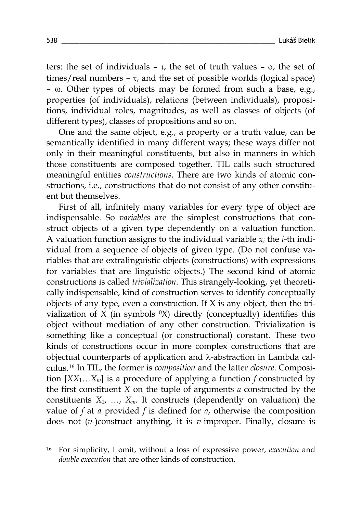ters: the set of individuals – ι, the set of truth values – ο, the set of times/real numbers  $- \tau$ , and the set of possible worlds (logical space) – ω. Other types of objects may be formed from such a base, e.g., properties (of individuals), relations (between individuals), propositions, individual roles, magnitudes, as well as classes of objects (of different types), classes of propositions and so on.

One and the same object, e.g., a property or a truth value, can be semantically identified in many different ways; these ways differ not only in their meaningful constituents, but also in manners in which those constituents are composed together. TIL calls such structured meaningful entities *constructions.* There are two kinds of atomic constructions, i.e., constructions that do not consist of any other constituent but themselves.

First of all, infinitely many variables for every type of object are indispensable. So *variables* are the simplest constructions that construct objects of a given type dependently on a valuation function. A valuation function assigns to the individual variable  $x_i$  the *i*-th individual from a sequence of objects of given type. (Do not confuse variables that are extralinguistic objects (constructions) with expressions for variables that are linguistic objects.) The second kind of atomic constructions is called *trivialization*. This strangely-looking, yet theoretically indispensable, kind of construction serves to identify conceptually objects of any type, even a construction. If X is any object, then the trivialization of  $X$  (in symbols  $(X)$ ) directly (conceptually) identifies this object without mediation of any other construction. Trivialization is something like a conceptual (or constructional) constant. These two kinds of constructions occur in more complex constructions that are objectual counterparts of application and λ-abstraction in Lambda calculus.[16](#page-16-0) In TIL, the former is *composition* and the latter *closure*. Composition [*XX*1…*Xm*] is a procedure of applying a function *f* constructed by the first constituent *X* on the tuple of arguments *a* constructed by the constituents  $X_1$ , ...,  $X_m$ . It constructs (dependently on valuation) the value of *f* at *a* provided *f* is defined for *a*, otherwise the composition does not (*v-*)construct anything, it is *v-*improper. Finally, closure is

<span id="page-16-0"></span><sup>16</sup> For simplicity, I omit, without a loss of expressive power, *execution* and *double execution* that are other kinds of construction.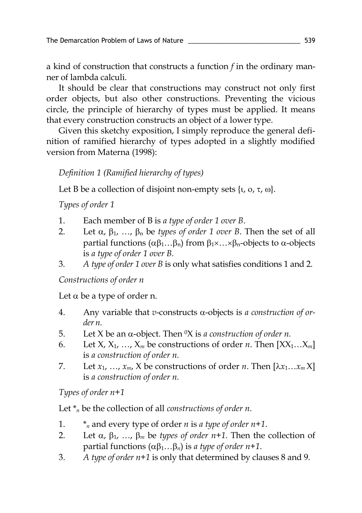a kind of construction that constructs a function *f* in the ordinary manner of lambda calculi.

It should be clear that constructions may construct not only first order objects, but also other constructions. Preventing the vicious circle, the principle of hierarchy of types must be applied. It means that every construction constructs an object of a lower type.

Given this sketchy exposition, I simply reproduce the general definition of ramified hierarchy of types adopted in a slightly modified version from Materna (1998):

*Definition 1 (Ramified hierarchy of types)*

Let B be a collection of disjoint non-empty sets  $\{v, \sigma, \tau, \omega\}$ .

*Types of order 1*

- 1. Each member of B is *a type of order 1 over B*.
- 2. Let  $\alpha$ ,  $\beta_1$ , ...,  $\beta_n$  be *types of order 1 over B*. Then the set of all partial functions  $(αβ₁...βₙ)$  from  $β₁×...×βₙ$ -objects to α-objects is *a type of order 1 over B.*
- 3. *A type of order 1 over B* is only what satisfies conditions 1 and 2.

*Constructions of order n*

Let  $\alpha$  be a type of order n.

- 4. Any variable that *v*-constructs α-objects is *a construction of order n.*
- 5. Let X be an α-object. Then 0X is *a construction of order n.*
- 6. Let  $X, X_1, \ldots, X_m$  be constructions of order *n*. Then  $[XX_1...X_m]$ is *a construction of order n.*
- 7. Let  $x_1, \ldots, x_m$ ,  $X$  be constructions of order *n*. Then  $[\lambda x_1, \ldots, x_m]$ is *a construction of order n.*

*Types of order n+1*

Let \**<sup>n</sup>* be the collection of all *constructions of order n*.

- 1. \**<sup>n</sup>* and every type of order *n* is *a type of order n+1*.
- 2. Let  $\alpha$ ,  $\beta_1$ , ...,  $\beta_m$  be *types of order n*+1. Then the collection of partial functions (αβ1…β*n*) is *a type of order n+1*.
- 3. *A type of order n+1* is only that determined by clauses 8 and 9.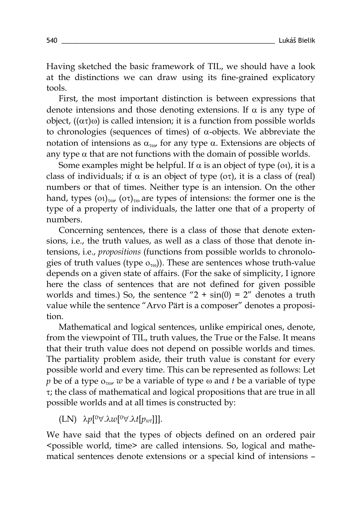Having sketched the basic framework of TIL, we should have a look at the distinctions we can draw using its fine-grained explicatory tools.

First, the most important distinction is between expressions that denote intensions and those denoting extensions. If  $\alpha$  is any type of object,  $((ατ)ω)$  is called intension; it is a function from possible worlds to chronologies (sequences of times) of α-objects. We abbreviate the notation of intensions as  $\alpha_{\tau\omega}$ , for any type α. Extensions are objects of any type  $\alpha$  that are not functions with the domain of possible worlds.

Some examples might be helpful. If  $\alpha$  is an object of type (oi), it is a class of individuals; if  $\alpha$  is an object of type ( $\alpha\tau$ ), it is a class of (real) numbers or that of times. Neither type is an intension. On the other hand, types (οι)<sub>τω</sub>, (οτ)<sub>τω</sub> are types of intensions: the former one is the type of a property of individuals, the latter one that of a property of numbers.

Concerning sentences, there is a class of those that denote extensions, i.e., the truth values, as well as a class of those that denote intensions, i.e., *propositions* (functions from possible worlds to chronologies of truth values (type  $o_{\tau(0)}$ ). These are sentences whose truth-value depends on a given state of affairs. (For the sake of simplicity, I ignore here the class of sentences that are not defined for given possible worlds and times.) So, the sentence " $2 + sin(0) = 2$ " denotes a truth value while the sentence "Arvo Pärt is a composer" denotes a proposition.

Mathematical and logical sentences, unlike empirical ones, denote, from the viewpoint of TIL, truth values, the True or the False. It means that their truth value does not depend on possible worlds and times. The partiality problem aside, their truth value is constant for every possible world and every time. This can be represented as follows: Let *p* be of a type  $o_{\tau \omega}$  *w* be a variable of type  $\omega$  and *t* be a variable of type τ; the class of mathematical and logical propositions that are true in all possible worlds and at all times is constructed by:

(LN) λ*p*[0∀.λ*w*[0∀.λ*t*[*pwt*]]].

We have said that the types of objects defined on an ordered pair <possible world, time> are called intensions. So, logical and mathematical sentences denote extensions or a special kind of intensions –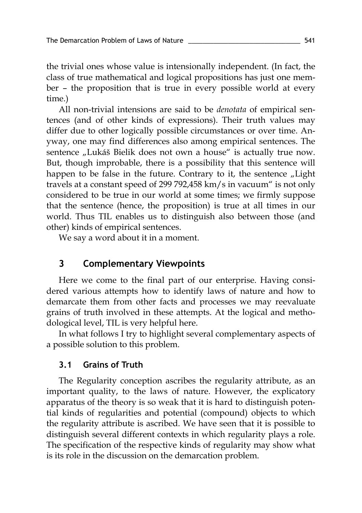the trivial ones whose value is intensionally independent. (In fact, the class of true mathematical and logical propositions has just one member – the proposition that is true in every possible world at every time.)

All non-trivial intensions are said to be *denotata* of empirical sentences (and of other kinds of expressions). Their truth values may differ due to other logically possible circumstances or over time. Anyway, one may find differences also among empirical sentences. The sentence "Lukáš Bielik does not own a house" is actually true now. But, though improbable, there is a possibility that this sentence will happen to be false in the future. Contrary to it, the sentence  $\mu$  Light travels at a constant speed of 299 792,458 km/s in vacuum" is not only considered to be true in our world at some times; we firmly suppose that the sentence (hence, the proposition) is true at all times in our world. Thus TIL enables us to distinguish also between those (and other) kinds of empirical sentences.

We say a word about it in a moment.

# **3 Complementary Viewpoints**

Here we come to the final part of our enterprise. Having considered various attempts how to identify laws of nature and how to demarcate them from other facts and processes we may reevaluate grains of truth involved in these attempts. At the logical and methodological level, TIL is very helpful here.

In what follows I try to highlight several complementary aspects of a possible solution to this problem.

## **3.1 Grains of Truth**

The Regularity conception ascribes the regularity attribute, as an important quality, to the laws of nature. However, the explicatory apparatus of the theory is so weak that it is hard to distinguish potential kinds of regularities and potential (compound) objects to which the regularity attribute is ascribed. We have seen that it is possible to distinguish several different contexts in which regularity plays a role. The specification of the respective kinds of regularity may show what is its role in the discussion on the demarcation problem.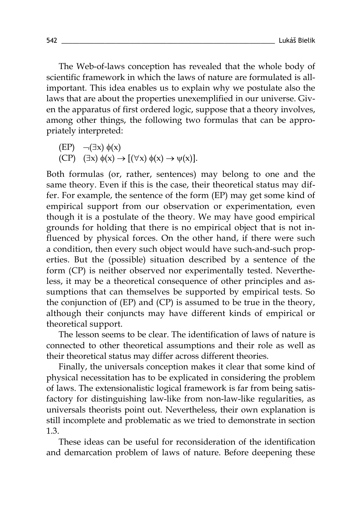The Web-of-laws conception has revealed that the whole body of scientific framework in which the laws of nature are formulated is allimportant. This idea enables us to explain why we postulate also the laws that are about the properties unexemplified in our universe. Given the apparatus of first ordered logic, suppose that a theory involves, among other things, the following two formulas that can be appropriately interpreted:

$$
\begin{array}{ll}\n\text{(EP)} & \neg(\exists x) \ \phi(x) \\
\text{(CP)} & (\exists x) \ \phi(x) \rightarrow [(\forall x) \ \phi(x) \rightarrow \psi(x)].\n\end{array}
$$

Both formulas (or, rather, sentences) may belong to one and the same theory. Even if this is the case, their theoretical status may differ. For example, the sentence of the form (EP) may get some kind of empirical support from our observation or experimentation, even though it is a postulate of the theory. We may have good empirical grounds for holding that there is no empirical object that is not influenced by physical forces. On the other hand, if there were such a condition, then every such object would have such-and-such properties. But the (possible) situation described by a sentence of the form (CP) is neither observed nor experimentally tested. Nevertheless, it may be a theoretical consequence of other principles and assumptions that can themselves be supported by empirical tests. So the conjunction of (EP) and (CP) is assumed to be true in the theory, although their conjuncts may have different kinds of empirical or theoretical support.

The lesson seems to be clear. The identification of laws of nature is connected to other theoretical assumptions and their role as well as their theoretical status may differ across different theories.

Finally, the universals conception makes it clear that some kind of physical necessitation has to be explicated in considering the problem of laws. The extensionalistic logical framework is far from being satisfactory for distinguishing law-like from non-law-like regularities, as universals theorists point out. Nevertheless, their own explanation is still incomplete and problematic as we tried to demonstrate in section 1.3.

These ideas can be useful for reconsideration of the identification and demarcation problem of laws of nature. Before deepening these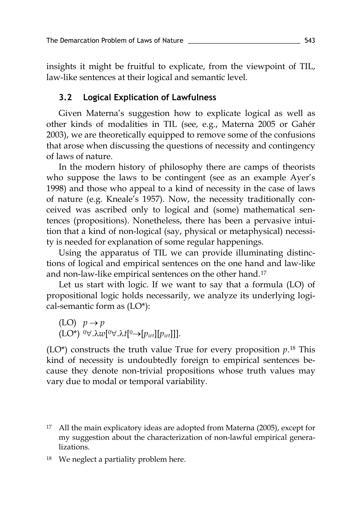insights it might be fruitful to explicate, from the viewpoint of TIL, law-like sentences at their logical and semantic level.

## **3.2 Logical Explication of Lawfulness**

Given Materna's suggestion how to explicate logical as well as other kinds of modalities in TIL (see, e.g., Materna 2005 or Gahér 2003), we are theoretically equipped to remove some of the confusions that arose when discussing the questions of necessity and contingency of laws of nature.

In the modern history of philosophy there are camps of theorists who suppose the laws to be contingent (see as an example Ayer's 1998) and those who appeal to a kind of necessity in the case of laws of nature (e.g. Kneale's 1957). Now, the necessity traditionally conceived was ascribed only to logical and (some) mathematical sentences (propositions). Nonetheless, there has been a pervasive intuition that a kind of non-logical (say, physical or metaphysical) necessity is needed for explanation of some regular happenings.

Using the apparatus of TIL we can provide illuminating distinctions of logical and empirical sentences on the one hand and law-like and non-law-like empirical sentences on the other hand.<sup>[17](#page-21-0)</sup>

Let us start with logic. If we want to say that a formula (LO) of propositional logic holds necessarily, we analyze its underlying logical-semantic form as (LO\*):

```
(LO) p \rightarrow p(LO*) 0∀.λw[0∀.λt[0→[pwt][pwt]]].
```
 $(LO^*)$  constructs the truth value True for every proposition  $p^{18}$  $p^{18}$  $p^{18}$  This kind of necessity is undoubtedly foreign to empirical sentences because they denote non-trivial propositions whose truth values may vary due to modal or temporal variability.

- <span id="page-21-0"></span><sup>17</sup> All the main explicatory ideas are adopted from Materna (2005), except for my suggestion about the characterization of non-lawful empirical generalizations.
- <span id="page-21-1"></span><sup>18</sup> We neglect a partiality problem here.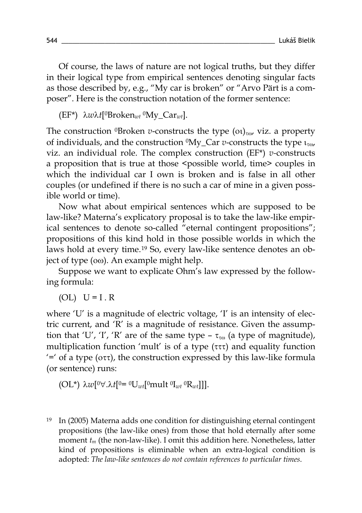Of course, the laws of nature are not logical truths, but they differ in their logical type from empirical sentences denoting singular facts as those described by, e.g., "My car is broken" or "Arvo Pärt is a composer". Here is the construction notation of the former sentence:

(EF\*) λ*w*λ*t*[0Broken*wt* 0My\_Car*wt*].

The construction <sup>0</sup>Broken *v*-constructs the type  $(0)_{\tau\omega}$ , viz. a property of individuals, and the construction 0My\_Car *v*-constructs the type ιτω, viz. an individual role. The complex construction (EF\*) *v-*constructs a proposition that is true at those <possible world, time> couples in which the individual car I own is broken and is false in all other couples (or undefined if there is no such a car of mine in a given possible world or time).

Now what about empirical sentences which are supposed to be law-like? Materna's explicatory proposal is to take the law-like empirical sentences to denote so-called "eternal contingent propositions"; propositions of this kind hold in those possible worlds in which the laws hold at every time.<sup>[19](#page-22-0)</sup> So, every law-like sentence denotes an object of type (οω). An example might help.

Suppose we want to explicate Ohm's law expressed by the following formula:

 $(OL)$   $U = I$ . R

where 'U' is a magnitude of electric voltage, 'I' is an intensity of electric current, and 'R' is a magnitude of resistance. Given the assumption that 'U', 'I', 'R' are of the same type –  $\tau_{\tau\omega}$  (a type of magnitude), multiplication function 'mult' is of a type (τττ) and equality function '=' of a type ( $\sigma\tau$ ), the construction expressed by this law-like formula (or sentence) runs:

$$
(\text{OL*}) \ \lambda w[^{0}\forall.\lambda t[^{0}=\mathbf{0}U_{wt}[^{0}\mathbf{mult}\mathbf{0}U_{wt}\mathbf{0}]\mathbf{R}_{wt}].
$$

<span id="page-22-0"></span><sup>19</sup> In (2005) Materna adds one condition for distinguishing eternal contingent propositions (the law-like ones) from those that hold eternally after some moment  $t_m$  (the non-law-like). I omit this addition here. Nonetheless, latter kind of propositions is eliminable when an extra-logical condition is adopted: *The law-like sentences do not contain references to particular times*.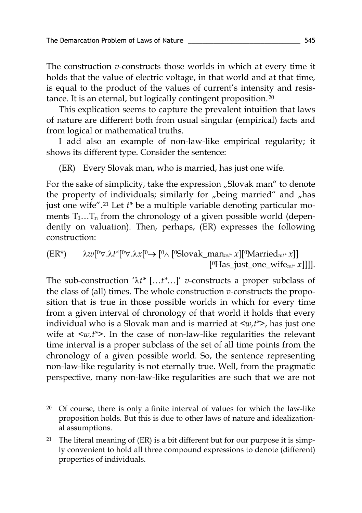The construction *v*-constructs those worlds in which at every time it holds that the value of electric voltage, in that world and at that time, is equal to the product of the values of current's intensity and resistance. It is an eternal, but logically contingent proposition.[20](#page-23-0)

This explication seems to capture the prevalent intuition that laws of nature are different both from usual singular (empirical) facts and from logical or mathematical truths.

I add also an example of non-law-like empirical regularity; it shows its different type. Consider the sentence:

(ER) Every Slovak man, who is married, has just one wife.

For the sake of simplicity, take the expression "Slovak man" to denote the property of individuals; similarly for "being married" and "has just one wife". [21](#page-23-1) Let *t\** be a multiple variable denoting particular moments  $T_1...T_n$  from the chronology of a given possible world (dependently on valuation). Then, perhaps, (ER) expresses the following construction:

 $(\text{ER*})$   $\lambda w$ <sup>[0</sup>∀.λ*t*<sup>\*</sup>[<sup>0</sup>∀.λ $x$ [<sup>0</sup>→ [<sup>0</sup>∧ [<sup>0</sup>Slovak\_man<sub>*wt*\*</sub>  $x$ ]</sub>[<sup>0</sup>Married<sub>*wt\**</sub>  $x$ ]] [<sup>0</sup>Has just one wife<sub>wt\*</sub> *x*]]]].

The sub-construction 'λ*t\** […*t\**…]' *v*-constructs a proper subclass of the class of (all) times. The whole construction *v*-constructs the proposition that is true in those possible worlds in which for every time from a given interval of chronology of that world it holds that every individual who is a Slovak man and is married at <*w,t\**>, has just one wife at <*w,t\**>. In the case of non-law-like regularities the relevant time interval is a proper subclass of the set of all time points from the chronology of a given possible world. So, the sentence representing non-law-like regularity is not eternally true. Well, from the pragmatic perspective, many non-law-like regularities are such that we are not

- <span id="page-23-0"></span> $20$  Of course, there is only a finite interval of values for which the law-like proposition holds. But this is due to other laws of nature and idealizational assumptions.
- <span id="page-23-1"></span><sup>21</sup> The literal meaning of  $(ER)$  is a bit different but for our purpose it is simply convenient to hold all three compound expressions to denote (different) properties of individuals.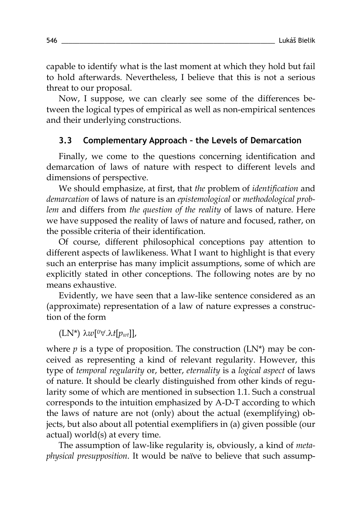capable to identify what is the last moment at which they hold but fail to hold afterwards. Nevertheless, I believe that this is not a serious threat to our proposal.

Now, I suppose, we can clearly see some of the differences between the logical types of empirical as well as non-empirical sentences and their underlying constructions.

## **3.3 Complementary Approach – the Levels of Demarcation**

Finally, we come to the questions concerning identification and demarcation of laws of nature with respect to different levels and dimensions of perspective.

We should emphasize, at first, that *the* problem of *identification* and *demarcation* of laws of nature is an *epistemological* or *methodological problem* and differs from *the question of the reality* of laws of nature. Here we have supposed the reality of laws of nature and focused, rather, on the possible criteria of their identification.

Of course, different philosophical conceptions pay attention to different aspects of lawlikeness. What I want to highlight is that every such an enterprise has many implicit assumptions, some of which are explicitly stated in other conceptions. The following notes are by no means exhaustive.

Evidently, we have seen that a law-like sentence considered as an (approximate) representation of a law of nature expresses a construction of the form

(LN\*) λ*w*[0∀.λ*t*[*pwt*]],

where  $p$  is a type of proposition. The construction  $(LN^*)$  may be conceived as representing a kind of relevant regularity. However, this type of *temporal regularity* or, better, *eternality* is a *logical aspect* of laws of nature. It should be clearly distinguished from other kinds of regularity some of which are mentioned in subsection 1.1. Such a construal corresponds to the intuition emphasized by A-D-T according to which the laws of nature are not (only) about the actual (exemplifying) objects, but also about all potential exemplifiers in (a) given possible (our actual) world(s) at every time.

The assumption of law-like regularity is, obviously, a kind of *metaphysical presupposition*. It would be naïve to believe that such assump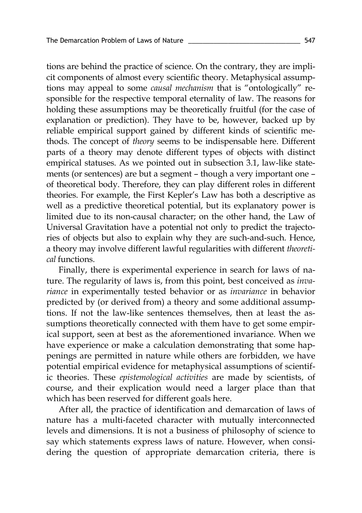tions are behind the practice of science. On the contrary, they are implicit components of almost every scientific theory. Metaphysical assumptions may appeal to some *causal mechanism* that is "ontologically" responsible for the respective temporal eternality of law. The reasons for holding these assumptions may be theoretically fruitful (for the case of explanation or prediction). They have to be, however, backed up by reliable empirical support gained by different kinds of scientific methods. The concept of *theory* seems to be indispensable here. Different parts of a theory may denote different types of objects with distinct empirical statuses. As we pointed out in subsection 3.1, law-like statements (or sentences) are but a segment – though a very important one – of theoretical body. Therefore, they can play different roles in different theories. For example, the First Kepler's Law has both a descriptive as well as a predictive theoretical potential, but its explanatory power is limited due to its non-causal character; on the other hand, the Law of Universal Gravitation have a potential not only to predict the trajectories of objects but also to explain why they are such-and-such. Hence, a theory may involve different lawful regularities with different *theoretical* functions.

Finally, there is experimental experience in search for laws of nature. The regularity of laws is, from this point, best conceived as *invariance* in experimentally tested behavior or as *invariance* in behavior predicted by (or derived from) a theory and some additional assumptions. If not the law-like sentences themselves, then at least the assumptions theoretically connected with them have to get some empirical support, seen at best as the aforementioned invariance. When we have experience or make a calculation demonstrating that some happenings are permitted in nature while others are forbidden, we have potential empirical evidence for metaphysical assumptions of scientific theories. These *epistemological activities* are made by scientists, of course, and their explication would need a larger place than that which has been reserved for different goals here.

After all, the practice of identification and demarcation of laws of nature has a multi-faceted character with mutually interconnected levels and dimensions. It is not a business of philosophy of science to say which statements express laws of nature. However, when considering the question of appropriate demarcation criteria, there is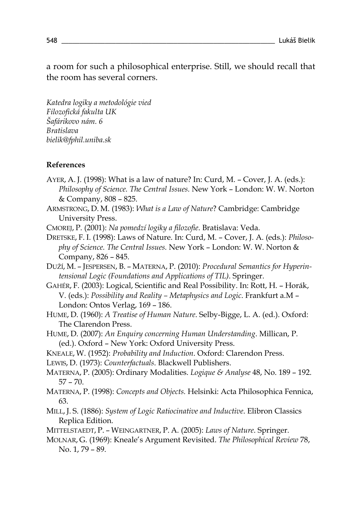a room for such a philosophical enterprise. Still, we should recall that the room has several corners.

*Katedra logiky a metodológie vied Filozofická fakulta UK Šafárikovo nám. 6 Bratislava bielik@fphil.uniba.sk*

#### **References**

- AYER, A. J. (1998): What is a law of nature? In: Curd, M. Cover, J. A. (eds.): *Philosophy of Science. The Central Issues.* New York – London: W. W. Norton & Company, 808 – 825.
- ARMSTRONG, D. M. (1983): *What is a Law of Nature*? Cambridge: Cambridge University Press.
- CMOREJ, P. (2001): *Na pomedzí logiky a filozofie*. Bratislava: Veda.
- DRETSKE, F. I. (1998): Laws of Nature. In: Curd, M. Cover, J. A. (eds.): *Philosophy of Science. The Central Issues.* New York – London: W. W. Norton & Company, 826 – 845.
- DUŽÍ, M. JESPERSEN, B. MATERNA, P. (2010): *Procedural Semantics for Hyperintensional Logic (Foundations and Applications of TIL)*. Springer.
- GAHÉR, F. (2003): Logical, Scientific and Real Possibility. In: Rott, H. Horák, V. (eds.): *Possibility and Reality – Metaphysics and Logic*. Frankfurt a.M – London: Ontos Verlag, 169 – 186.
- HUME, D. (1960): *A Treatise of Human Nature*. Selby-Bigge, L. A. (ed.). Oxford: The Clarendon Press.
- HUME, D. (2007): *An Enquiry concerning Human Understanding*. Millican, P. (ed.). Oxford – New York: Oxford University Press.
- KNEALE, W. (1952): *Probability and Induction*. Oxford: Clarendon Press.
- LEWIS, D. (1973): *Counterfactuals*. Blackwell Publishers.
- MATERNA, P. (2005): Ordinary Modalities. *Logique & Analyse* 48, No. 189 192. 57 – 70.
- MATERNA, P. (1998): *Concepts and Objects.* Helsinki: Acta Philosophica Fennica, 63.
- MILL, J. S. (1886): *System of Logic Ratiocinative and Inductive*. Elibron Classics Replica Edition.
- MITTELSTAEDT, P. WEINGARTNER, P. A. (2005): *Laws of Nature*. Springer.
- MOLNAR, G. (1969): Kneale's Argument Revisited. *The Philosophical Review* 78, No. 1, 79 – 89.